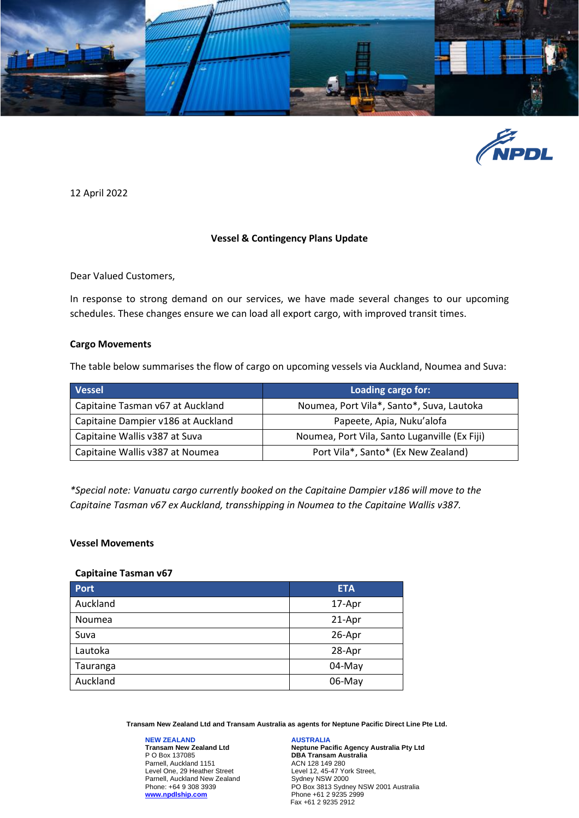



12 April 2022

# **Vessel & Contingency Plans Update**

Dear Valued Customers,

In response to strong demand on our services, we have made several changes to our upcoming schedules. These changes ensure we can load all export cargo, with improved transit times.

### **Cargo Movements**

The table below summarises the flow of cargo on upcoming vessels via Auckland, Noumea and Suva:

| <b>Vessel</b>                      | Loading cargo for:                            |
|------------------------------------|-----------------------------------------------|
| Capitaine Tasman v67 at Auckland   | Noumea, Port Vila*, Santo*, Suva, Lautoka     |
| Capitaine Dampier v186 at Auckland | Papeete, Apia, Nuku'alofa                     |
| Capitaine Wallis v387 at Suva      | Noumea, Port Vila, Santo Luganville (Ex Fiji) |
| Capitaine Wallis v387 at Noumea    | Port Vila*, Santo* (Ex New Zealand)           |

*\*Special note: Vanuatu cargo currently booked on the Capitaine Dampier v186 will move to the Capitaine Tasman v67 ex Auckland, transshipping in Noumea to the Capitaine Wallis v387.* 

#### **Vessel Movements**

#### **Capitaine Tasman v67**

| Port     | <b>ETA</b> |
|----------|------------|
| Auckland | 17-Apr     |
| Noumea   | 21-Apr     |
| Suva     | 26-Apr     |
| Lautoka  | 28-Apr     |
| Tauranga | 04-May     |
| Auckland | 06-May     |

**Transam New Zealand Ltd and Transam Australia as agents for Neptune Pacific Direct Line Pte Ltd.**

**NEW ZEALAND Transam New Zealand Ltd** P O Box 137085 Parnell, Auckland 1151 Level One, 29 Heather Street Parnell, Auckland New Zealand Phone: +64 9 308 3939 **[www.npdlship.com](http://www.npdlship.co/)**

**AUSTRALIA Neptune Pacific Agency Australia Pty Ltd DBA Transam Australia** ACN 128 149 280 Level 12, 45-47 York Street, Sydney NSW 2000 PO Box 3813 Sydney NSW 2001 Australia Phone +61 2 9235 2999 Fax +61 2 9235 2912